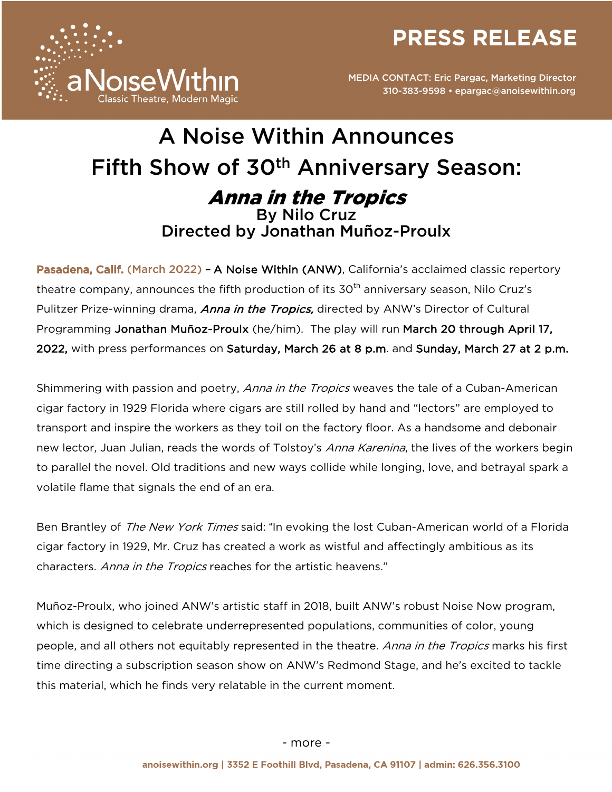**PRESS RELEASE** 



# A Noise Within Announces Fifth Show of 30th Anniversary Season: Anna in the Tropics By Nilo Cruz Directed by Jonathan Muñoz-Proulx

Pasadena, Calif. (March 2022) - A Noise Within (ANW), California's acclaimed classic repertory theatre company, announces the fifth production of its  $30<sup>th</sup>$  anniversary season, Nilo Cruz's Pulitzer Prize-winning drama, *Anna in the Tropics*, directed by ANW's Director of Cultural Programming Jonathan Muñoz-Proulx (he/him). The play will run March 20 through April 17, 2022, with press performances on Saturday, March 26 at 8 p.m. and Sunday, March 27 at 2 p.m.

Shimmering with passion and poetry, *Anna in the Tropics* weaves the tale of a Cuban-American cigar factory in 1929 Florida where cigars are still rolled by hand and "lectors" are employed to transport and inspire the workers as they toil on the factory floor. As a handsome and debonair new lector, Juan Julian, reads the words of Tolstoy's Anna Karenina, the lives of the workers begin to parallel the novel. Old traditions and new ways collide while longing, love, and betrayal spark a volatile flame that signals the end of an era.

Ben Brantley of The New York Times said: "In evoking the lost Cuban-American world of a Florida cigar factory in 1929, Mr. Cruz has created a work as wistful and affectingly ambitious as its characters. Anna in the Tropics reaches for the artistic heavens."

Muñoz-Proulx, who joined ANW's artistic staff in 2018, built ANW's robust Noise Now program, which is designed to celebrate underrepresented populations, communities of color, young people, and all others not equitably represented in the theatre. Anna in the Tropics marks his first time directing a subscription season show on ANW's Redmond Stage, and he's excited to tackle this material, which he finds very relatable in the current moment.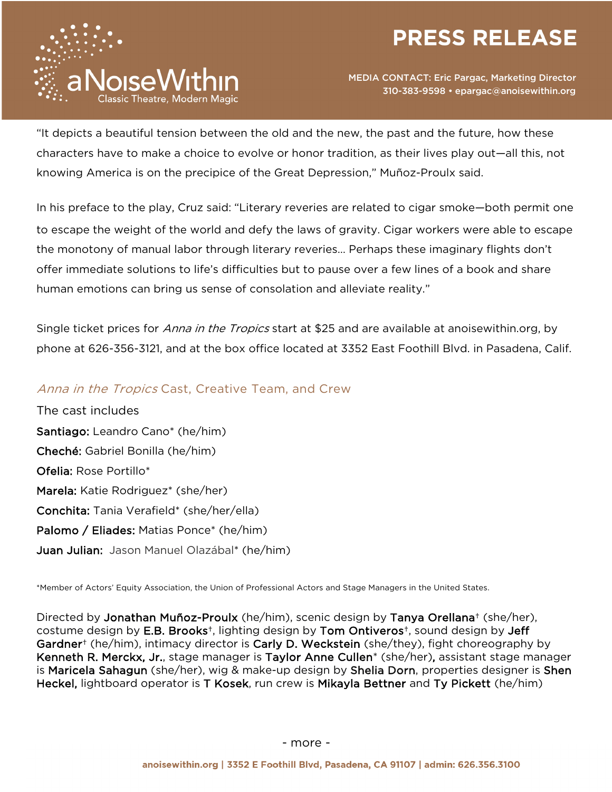



"It depicts a beautiful tension between the old and the new, the past and the future, how these characters have to make a choice to evolve or honor tradition, as their lives play out—all this, not knowing America is on the precipice of the Great Depression," Muñoz-Proulx said.

In his preface to the play, Cruz said: "Literary reveries are related to cigar smoke—both permit one to escape the weight of the world and defy the laws of gravity. Cigar workers were able to escape the monotony of manual labor through literary reveries… Perhaps these imaginary flights don't offer immediate solutions to life's difficulties but to pause over a few lines of a book and share human emotions can bring us sense of consolation and alleviate reality."

Single ticket prices for *Anna in the Tropics* start at \$25 and are available at anoisewithin.org, by phone at 626-356-3121, and at the box office located at 3352 East Foothill Blvd. in Pasadena, Calif.

## Anna in the Tropics Cast, Creative Team, and Crew

The cast includes Santiago: Leandro Cano\* (he/him) Cheché: Gabriel Bonilla (he/him) Ofelia: Rose Portillo\* Marela: Katie Rodriguez\* (she/her) Conchita: Tania Verafield\* (she/her/ella) Palomo / Eliades: Matias Ponce\* (he/him) Juan Julian: Jason Manuel Olazábal\* (he/him)

\*Member of Actors' Equity Association, the Union of Professional Actors and Stage Managers in the United States.

Directed by Jonathan Muñoz-Proulx (he/him), scenic design by Tanya Orellana† (she/her), costume design by E.B. Brooks†, lighting design by Tom Ontiveros†, sound design by Jeff Gardner<sup>+</sup> (he/him), intimacy director is Carly D. Weckstein (she/they), fight choreography by Kenneth R. Merckx, Jr., stage manager is Taylor Anne Cullen\* (she/her), assistant stage manager is Maricela Sahagun (she/her), wig & make-up design by Shelia Dorn, properties designer is Shen Heckel, lightboard operator is T Kosek, run crew is Mikayla Bettner and Ty Pickett (he/him)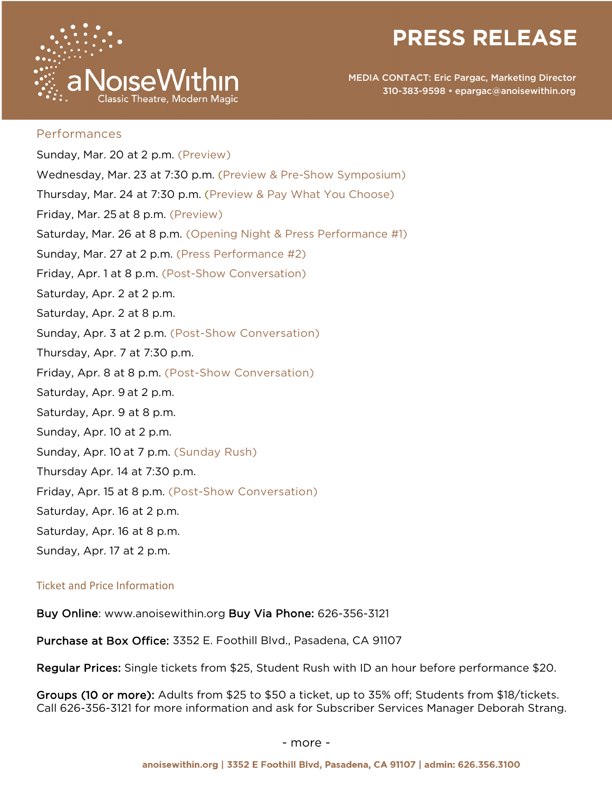



#### Performances

Sunday, Mar. 20 at 2 p.m. (Preview) Wednesday, Mar. 23 at 7:30 p.m. (Preview & Pre-Show Symposium) Thursday, Mar. 24 at 7:30 p.m. (Preview & Pay What You Choose) Friday, Mar. 25 at 8 p.m. (Preview) Saturday, Mar. 26 at 8 p.m. (Opening Night & Press Performance #1) Sunday, Mar. 27 at 2 p.m. (Press Performance #2) Friday, Apr. 1 at 8 p.m. (Post-Show Conversation) Saturday, Apr. 2 at 2 p.m. Saturday, Apr. 2 at 8 p.m. Sunday, Apr. 3 at 2 p.m. (Post-Show Conversation) Thursday, Apr. 7 at 7:30 p.m. Friday, Apr. 8 at 8 p.m. (Post-Show Conversation) Saturday, Apr. 9 at 2 p.m. Saturday, Apr. 9 at 8 p.m. Sunday, Apr. 10 at 2 p.m. Sunday, Apr. 10 at 7 p.m. (Sunday Rush) Thursday Apr. 14 at 7:30 p.m. Friday, Apr. 15 at 8 p.m. (Post-Show Conversation) Saturday, Apr. 16 at 2 p.m. Saturday, Apr. 16 at 8 p.m. Sunday, Apr. 17 at 2 p.m.

#### Ticket and Price Information

Buy Online: www.anoisewithin.org Buy Via Phone: 626-356-3121

Purchase at Box Office: 3352 E. Foothill Blvd., Pasadena, CA 91107

Regular Prices: Single tickets from \$25, Student Rush with ID an hour before performance \$20.

Groups (10 or more): Adults from \$25 to \$50 a ticket, up to 35% off; Students from \$18/tickets. Call 626-356-3121 for more information and ask for Subscriber Services Manager Deborah Strang.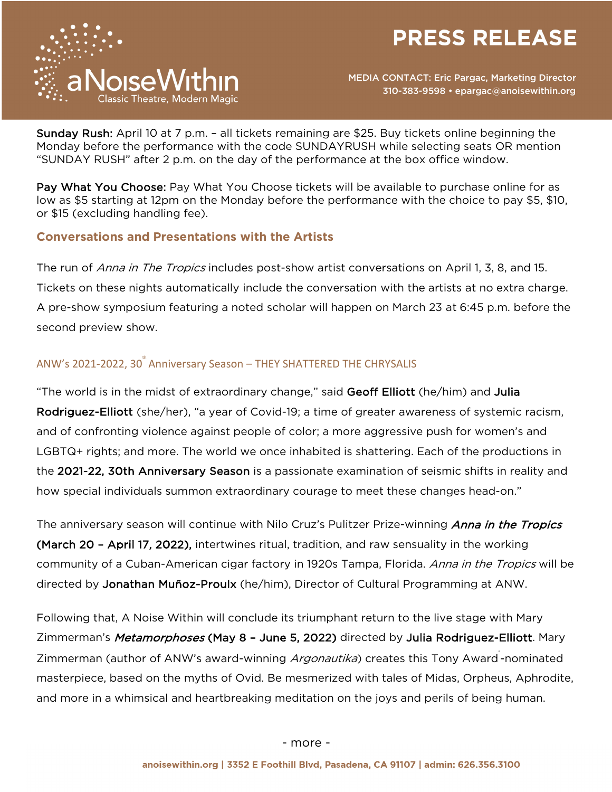



Sunday Rush: April 10 at 7 p.m. – all tickets remaining are \$25. Buy tickets online beginning the Monday before the performance with the code SUNDAYRUSH while selecting seats OR mention "SUNDAY RUSH" after 2 p.m. on the day of the performance at the box office window.

Pay What You Choose: Pay What You Choose tickets will be available to purchase online for as low as \$5 starting at 12pm on the Monday before the performance with the choice to pay \$5, \$10, or \$15 (excluding handling fee).

## **Conversations and Presentations with the Artists**

The run of *Anna in The Tropics* includes post-show artist conversations on April 1, 3, 8, and 15. Tickets on these nights automatically include the conversation with the artists at no extra charge. A pre-show symposium featuring a noted scholar will happen on March 23 at 6:45 p.m. before the second preview show.

# ANW's 2021-2022, 30<sup>th</sup> Anniversary Season – THEY SHATTERED THE CHRYSALIS

"The world is in the midst of extraordinary change," said Geoff Elliott (he/him) and Julia Rodriguez-Elliott (she/her), "a year of Covid-19; a time of greater awareness of systemic racism, and of confronting violence against people of color; a more aggressive push for women's and LGBTQ+ rights; and more. The world we once inhabited is shattering. Each of the productions in the 2021-22, 30th Anniversary Season is a passionate examination of seismic shifts in reality and how special individuals summon extraordinary courage to meet these changes head-on."

The anniversary season will continue with Nilo Cruz's Pulitzer Prize-winning *Anna in the Tropics* (March 20 - April 17, 2022), intertwines ritual, tradition, and raw sensuality in the working community of a Cuban-American cigar factory in 1920s Tampa, Florida. *Anna in the Tropics* will be directed by Jonathan Muñoz-Proulx (he/him), Director of Cultural Programming at ANW.

Following that, A Noise Within will conclude its triumphant return to the live stage with Mary Zimmerman's Metamorphoses (May 8 - June 5, 2022) directed by Julia Rodriguez-Elliott. Mary Zimmerman (author of ANW's award-winning *Argonautika*) creates this Tony Award-nominated masterpiece, based on the myths of Ovid. Be mesmerized with tales of Midas, Orpheus, Aphrodite, and more in a whimsical and heartbreaking meditation on the joys and perils of being human.